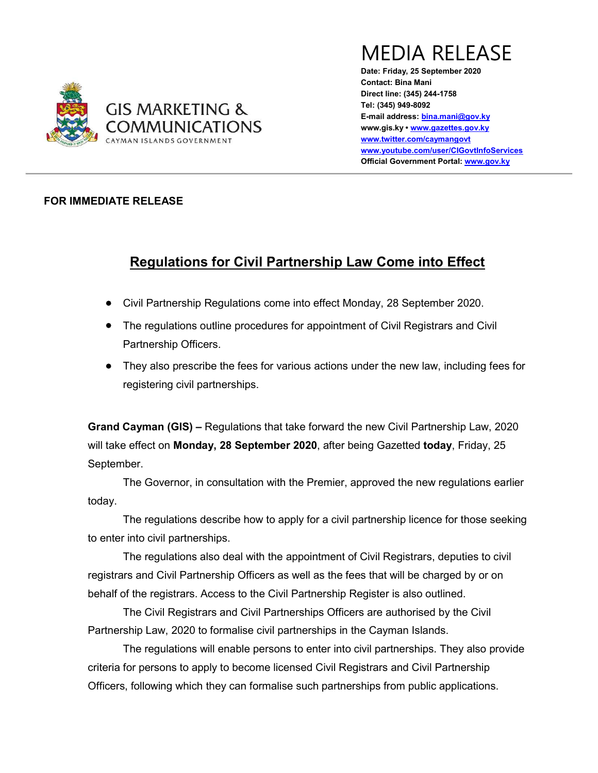

MEDIA RELEASE

Date: Friday, 25 September 2020 Contact: Bina Mani Direct line: (345) 244-1758 Tel: (345) 949-8092 E-mail address: bina.mani@gov.ky www.gis.ky • www.gazettes.gov.ky www.twitter.com/caymangovt www.youtube.com/user/CIGovtInfoServices Official Government Portal: www.gov.ky

## FOR IMMEDIATE RELEASE

## Regulations for Civil Partnership Law Come into Effect

- Civil Partnership Regulations come into effect Monday, 28 September 2020.
- The regulations outline procedures for appointment of Civil Registrars and Civil Partnership Officers.
- They also prescribe the fees for various actions under the new law, including fees for registering civil partnerships.

Grand Cayman (GIS) – Regulations that take forward the new Civil Partnership Law, 2020 will take effect on Monday, 28 September 2020, after being Gazetted today, Friday, 25 September.

 The Governor, in consultation with the Premier, approved the new regulations earlier today.

 The regulations describe how to apply for a civil partnership licence for those seeking to enter into civil partnerships.

The regulations also deal with the appointment of Civil Registrars, deputies to civil registrars and Civil Partnership Officers as well as the fees that will be charged by or on behalf of the registrars. Access to the Civil Partnership Register is also outlined.

 The Civil Registrars and Civil Partnerships Officers are authorised by the Civil Partnership Law, 2020 to formalise civil partnerships in the Cayman Islands.

 The regulations will enable persons to enter into civil partnerships. They also provide criteria for persons to apply to become licensed Civil Registrars and Civil Partnership Officers, following which they can formalise such partnerships from public applications.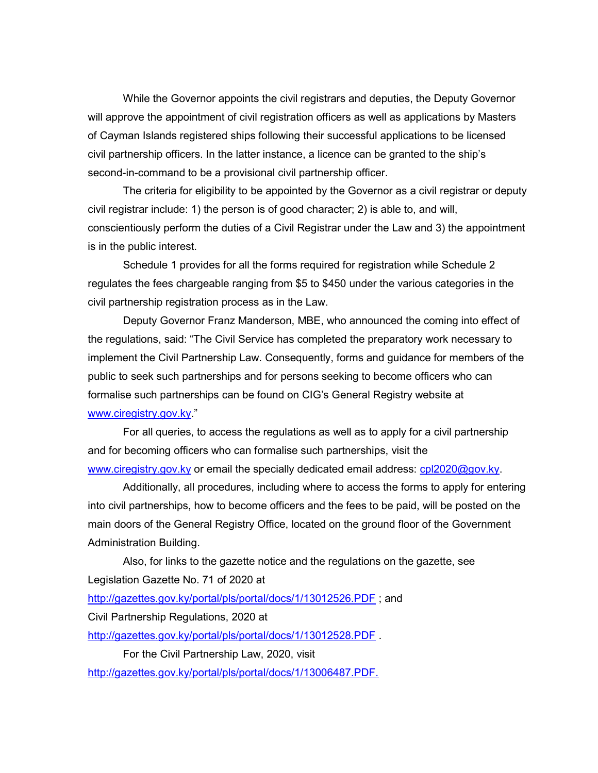While the Governor appoints the civil registrars and deputies, the Deputy Governor will approve the appointment of civil registration officers as well as applications by Masters of Cayman Islands registered ships following their successful applications to be licensed civil partnership officers. In the latter instance, a licence can be granted to the ship's second-in-command to be a provisional civil partnership officer.

 The criteria for eligibility to be appointed by the Governor as a civil registrar or deputy civil registrar include: 1) the person is of good character; 2) is able to, and will, conscientiously perform the duties of a Civil Registrar under the Law and 3) the appointment is in the public interest.

 Schedule 1 provides for all the forms required for registration while Schedule 2 regulates the fees chargeable ranging from \$5 to \$450 under the various categories in the civil partnership registration process as in the Law.

 Deputy Governor Franz Manderson, MBE, who announced the coming into effect of the regulations, said: "The Civil Service has completed the preparatory work necessary to implement the Civil Partnership Law. Consequently, forms and guidance for members of the public to seek such partnerships and for persons seeking to become officers who can formalise such partnerships can be found on CIG's General Registry website at www.ciregistry.gov.ky."

 For all queries, to access the regulations as well as to apply for a civil partnership and for becoming officers who can formalise such partnerships, visit the www.ciregistry.gov.ky or email the specially dedicated email address: cpl2020@gov.ky.

 Additionally, all procedures, including where to access the forms to apply for entering into civil partnerships, how to become officers and the fees to be paid, will be posted on the main doors of the General Registry Office, located on the ground floor of the Government Administration Building.

 Also, for links to the gazette notice and the regulations on the gazette, see Legislation Gazette No. 71 of 2020 at http://gazettes.gov.ky/portal/pls/portal/docs/1/13012526.PDF ; and Civil Partnership Regulations, 2020 at http://gazettes.gov.ky/portal/pls/portal/docs/1/13012528.PDF

For the Civil Partnership Law, 2020, visit http://gazettes.gov.ky/portal/pls/portal/docs/1/13006487.PDF.